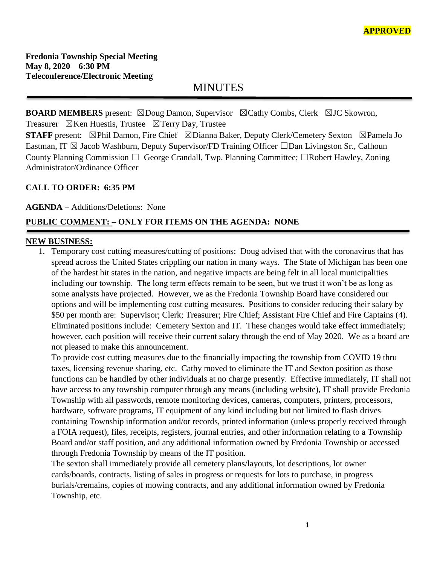# MINUTES

**BOARD MEMBERS** present: ⊠Doug Damon, Supervisor ⊠Cathy Combs, Clerk ⊠JC Skowron, Treasurer  $\boxtimes$ Ken Huestis, Trustee  $\boxtimes$ Terry Day, Trustee

**STAFF** present: ⊠Phil Damon, Fire Chief ⊠Dianna Baker, Deputy Clerk/Cemetery Sexton ⊠Pamela Jo Eastman, IT  $\boxtimes$  Jacob Washburn, Deputy Supervisor/FD Training Officer  $\Box$ Dan Livingston Sr., Calhoun County Planning Commission □ George Crandall, Twp. Planning Committee; □Robert Hawley, Zoning Administrator/Ordinance Officer

## **CALL TO ORDER: 6:35 PM**

**AGENDA** – Additions/Deletions: None

# **PUBLIC COMMENT: – ONLY FOR ITEMS ON THE AGENDA: NONE**

#### **NEW BUSINESS:**

1. Temporary cost cutting measures/cutting of positions: Doug advised that with the coronavirus that has spread across the United States crippling our nation in many ways. The State of Michigan has been one of the hardest hit states in the nation, and negative impacts are being felt in all local municipalities including our township. The long term effects remain to be seen, but we trust it won't be as long as some analysts have projected. However, we as the Fredonia Township Board have considered our options and will be implementing cost cutting measures. Positions to consider reducing their salary by \$50 per month are: Supervisor; Clerk; Treasurer; Fire Chief; Assistant Fire Chief and Fire Captains (4). Eliminated positions include: Cemetery Sexton and IT. These changes would take effect immediately; however, each position will receive their current salary through the end of May 2020. We as a board are not pleased to make this announcement.

To provide cost cutting measures due to the financially impacting the township from COVID 19 thru taxes, licensing revenue sharing, etc. Cathy moved to eliminate the IT and Sexton position as those functions can be handled by other individuals at no charge presently. Effective immediately, IT shall not have access to any township computer through any means (including website), IT shall provide Fredonia Township with all passwords, remote monitoring devices, cameras, computers, printers, processors, hardware, software programs, IT equipment of any kind including but not limited to flash drives containing Township information and/or records, printed information (unless properly received through a FOIA request), files, receipts, registers, journal entries, and other information relating to a Township Board and/or staff position, and any additional information owned by Fredonia Township or accessed through Fredonia Township by means of the IT position.

The sexton shall immediately provide all cemetery plans/layouts, lot descriptions, lot owner cards/boards, contracts, listing of sales in progress or requests for lots to purchase, in progress burials/cremains, copies of mowing contracts, and any additional information owned by Fredonia Township, etc.